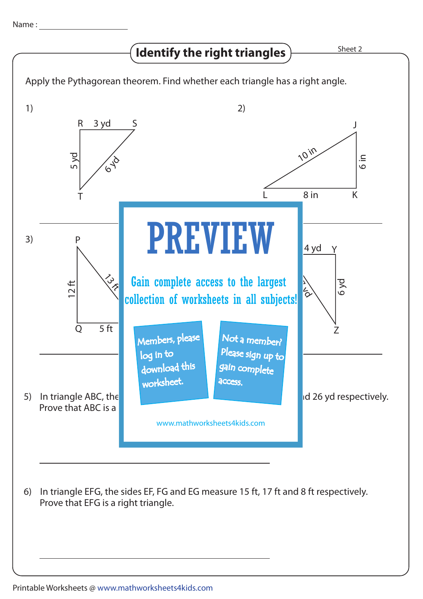